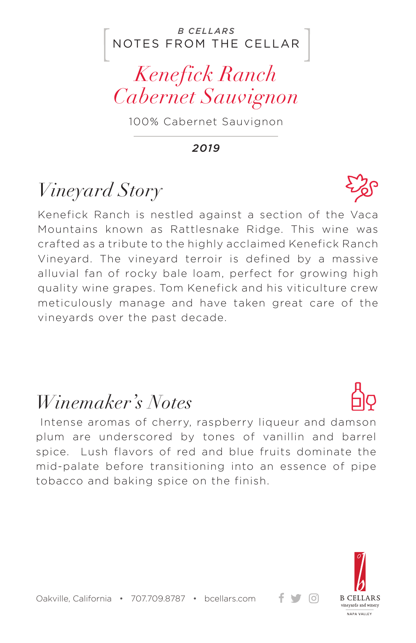#### NOTES FROM THE CELLAR *B CELLARS*



100% Cabernet Sauvignon

*2019*

# *Vineyard Story*

Kenefick Ranch is nestled against a section of the Vaca Mountains known as Rattlesnake Ridge. This wine was crafted as a tribute to the highly acclaimed Kenefick Ranch Vineyard. The vineyard terroir is defined by a massive alluvial fan of rocky bale loam, perfect for growing high quality wine grapes. Tom Kenefick and his viticulture crew meticulously manage and have taken great care of the vineyards over the past decade.

## *Winemaker's Notes*

 Intense aromas of cherry, raspberry liqueur and damson plum are underscored by tones of vanillin and barrel spice. Lush flavors of red and blue fruits dominate the mid-palate before transitioning into an essence of pipe tobacco and baking spice on the finish.



+ ਚ ⊙